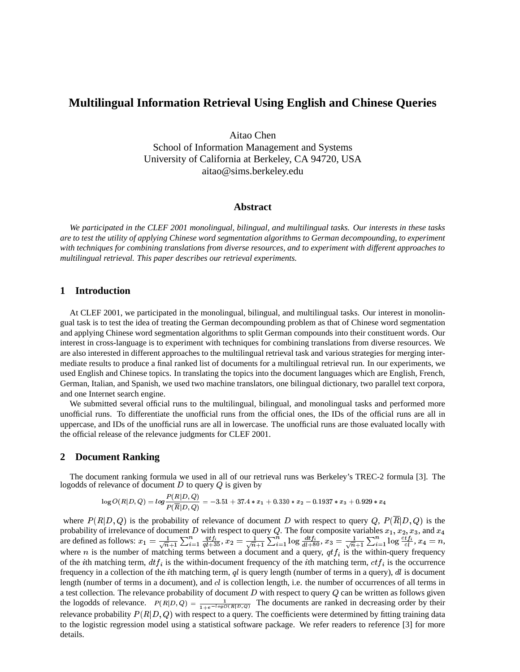# **Multilingual Information Retrieval Using English and Chinese Queries**

Aitao Chen

School of Information Management and Systems University of California at Berkeley, CA 94720, USA aitao@sims.berkeley.edu

#### **Abstract**

*We participated in the CLEF 2001 monolingual, bilingual, and multilingual tasks. Our interests in these tasks are to test the utility of applying Chinese word segmentation algorithms to German decompounding, to experiment with techniques for combining translations from diverse resources, and to experiment with different approaches to multilingual retrieval. This paper describes our retrieval experiments.*

### **1 Introduction**

At CLEF 2001, we participated in the monolingual, bilingual, and multilingual tasks. Our interest in monolingual task is to test the idea of treating the German decompounding problem as that of Chinese word segmentation and applying Chinese word segmentation algorithms to split German compounds into their constituent words. Our interest in cross-language is to experiment with techniques for combining translations from diverse resources. We are also interested in different approaches to the multilingual retrieval task and various strategies for merging intermediate results to produce a final ranked list of documents for a multilingual retrieval run. In our experiments, we used English and Chinese topics. In translating the topics into the document languages which are English, French, German, Italian, and Spanish, we used two machine translators, one bilingual dictionary, two parallel text corpora, and one Internet search engine.

We submitted several official runs to the multilingual, bilingual, and monolingual tasks and performed more unofficial runs. To differentiate the unofficial runs from the official ones, the IDs of the official runs are all in uppercase, and IDs of the unofficial runs are all in lowercase. The unofficial runs are those evaluated locally with the official release of the relevance judgments for CLEF 2001.

### **2 Document Ranking**

The document ranking formula we used in all of our retrieval runs was Berkeley's TREC-2 formula [3]. The logodds of relevance of document  $D$  to query  $Q$  is given by

$$
\log O(R|D,Q) = \log \frac{P(R|D,Q)}{P(\overline{R}|D,Q)} = -3.51 + 37.4 * x_1 + 0.330 * x_2 - 0.1937 * x_3 + 0.929 * x_4
$$

where  $P(R|D,Q)$  is the probability of relevance of document D with respect to query  $Q$ ,  $P(\overline{R}|D,Q)$  is the probability of irrelevance of document D with respect to query Q. The four composite variables  $x_1, x_2, x_3$ , and  $x_4$ are defined as follows:  $x_1 = \frac{1}{\sqrt{n+1}} \sum_{i=1}^n \frac{q t f_i}{q l+35}$ ,  $x_2 = \frac{1}{\sqrt{n+1}} \sum_{i=1}^n \log \frac{a t f_i}{d l+80}$ ,  $x_3 = \frac{1}{\sqrt{n+1}} \sum_{i=1}^n \log \frac{c t f_i}{c l}$ ,  $x_4 = n$ , where *n* is the number of matching terms between a document and a query,  $qtf_i$  is the within-query frequency of the *i*th matching term,  $dt f_i$  is the within-document frequency of the *i*th matching term,  $dt f_i$  is the occurrence frequency in a collection of the *i*th matching term,  $ql$  is query length (number of terms in a query),  $dl$  is document length (number of terms in a document), and cl is collection length, i.e. the number of occurrences of all terms in a test collection. The relevance probability of document  $D$  with respect to query  $Q$  can be written as follows given the logodds of relevance.  $P(R|D,Q) = \frac{1}{1+e^{-log O(R|D,Q)}}$  The documents are ranked in decreasing order by their relevance probability  $P(R|D,Q)$  with respect to a query. The coefficients were determined by fitting training data to the logistic regression model using a statistical software package. We refer readers to reference [3] for more details.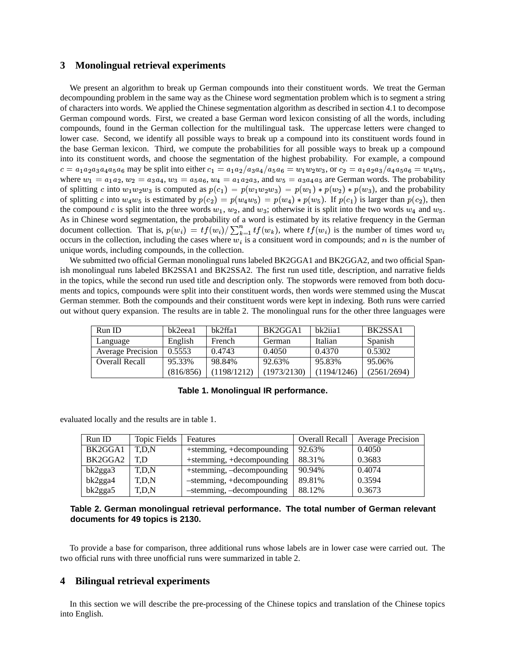### **3 Monolingual retrieval experiments**

We present an algorithm to break up German compounds into their constituent words. We treat the German decompounding problem in the same way as the Chinese word segmentation problem which is to segment a string of characters into words. We applied the Chinese segmentation algorithm as described in section 4.1 to decompose German compound words. First, we created a base German word lexicon consisting of all the words, including compounds, found in the German collection for the multilingual task. The uppercase letters were changed to lower case. Second, we identify all possible ways to break up a compound into its constituent words found in the base German lexicon. Third, we compute the probabilities for all possible ways to break up a compound into its constituent words, and choose the segmentation of the highest probability. For example, a compound  $c = a_1 a_2 a_3 a_4 a_5 a_6$  may be split into either  $c_1 = a_1 a_2/a_3 a_4/a_5 a_6 = w_1 w_2 w_3$ , or  $c_2 = a_1 a_2 a_3/a_4 a_5 a_6 = w_4 w_5$ , where  $w_1 = a_1a_2$ ,  $w_2 = a_3a_4$ ,  $w_3 = a_5a_6$ ,  $w_4 = a_1a_2a_3$ , and  $w_5 = a_3a_4a_5$  are German words. The probability of splitting c into  $w_1w_2w_3$  is computed as  $p(c_1) = p(w_1w_2w_3) = p(w_1) * p(w_2) * p(w_3)$ , and the probability of splitting c into  $w_4w_5$  is estimated by  $p(c_2) = p(w_4w_5) = p(w_4) * p(w_5)$ . If  $p(c_1)$  is larger than  $p(c_2)$ , then the compound c is split into the three words  $w_1$ ,  $w_2$ , and  $w_3$ ; otherwise it is split into the two words  $w_4$  and  $w_5$ . As in Chinese word segmentation, the probability of a word is estimated by its relative frequency in the German document collection. That is,  $p(w_i) = tf(w_i)/\sum_{k=1}^n tf(w_k)$ , where  $tf(w_i)$  is the number of times word  $w_i$ occurs in the collection, including the cases where  $w_i$  is a consituent word in compounds; and n is the number of unique words, including compounds, in the collection.

We submitted two official German monolingual runs labeled BK2GGA1 and BK2GGA2, and two official Spanish monolingual runs labeled BK2SSA1 and BK2SSA2. The first run used title, description, and narrative fields in the topics, while the second run used title and description only. The stopwords were removed from both documents and topics, compounds were split into their constituent words, then words were stemmed using the Muscat German stemmer. Both the compounds and their constituent words were kept in indexing. Both runs were carried out without query expansion. The results are in table 2. The monolingual runs for the other three languages were

| Run ID                   | bk2eea1   | bk2ffa1     | BK2GGA1     | bk2iia1     | BK2SSA1     |
|--------------------------|-----------|-------------|-------------|-------------|-------------|
| Language                 | English   | French      | German      | Italian     | Spanish     |
| <b>Average Precision</b> | 0.5553    | 0.4743      | 0.4050      | 0.4370      | 0.5302      |
| <b>Overall Recall</b>    | 95.33%    | 98.84%      | 92.63%      | 95.83%      | 95.06%      |
|                          | (816/856) | (1198/1212) | (1973/2130) | (1194/1246) | (2561/2694) |

#### **Table 1. Monolingual IR performance.**

evaluated locally and the results are in table 1.

| Run ID  | Topic Fields | Features                  | <b>Overall Recall</b> | <b>Average Precision</b> |
|---------|--------------|---------------------------|-----------------------|--------------------------|
| BK2GGA1 | T.D.N        | +stemming, +decompounding | 92.63%                | 0.4050                   |
| BK2GGA2 | T.D          | +stemming, +decompounding | 88.31%                | 0.3683                   |
| bk2gga3 | T.D.N        | +stemming, -decompounding | 90.94%                | 0.4074                   |
| bk2gga4 | T.D.N        | -stemming, +decompounding | 89.81%                | 0.3594                   |
| bk2gga5 | T.D.N        | -stemming, -decompounding | 88.12%                | 0.3673                   |

## **Table 2. German monolingual retrieval performance. The total number of German relevant documents for 49 topics is 2130.**

To provide a base for comparison, three additional runs whose labels are in lower case were carried out. The two official runs with three unofficial runs were summarized in table 2.

### **4 Bilingual retrieval experiments**

In this section we will describe the pre-processing of the Chinese topics and translation of the Chinese topics into English.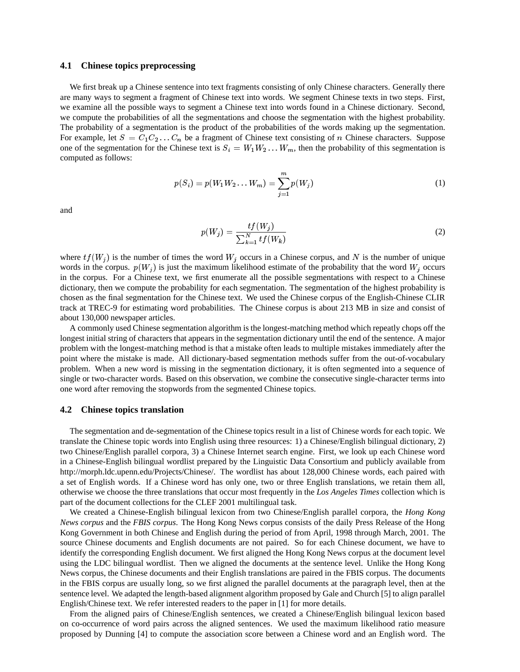#### **4.1 Chinese topics preprocessing**

We first break up a Chinese sentence into text fragments consisting of only Chinese characters. Generally there are many ways to segment a fragment of Chinese text into words. We segment Chinese texts in two steps. First, we examine all the possible ways to segment a Chinese text into words found in a Chinese dictionary. Second, we compute the probabilities of all the segmentations and choose the segmentation with the highest probability. The probability of a segmentation is the product of the probabilities of the words making up the segmentation. For example, let  $S = C_1 C_2 \dots C_n$  be a fragment of Chinese text consisting of n Chinese characters. Suppose one of the segmentation for the Chinese text is  $S_i = W_1 W_2 \ldots W_m$ , then the probability of this segmentation is computed as follows:

$$
p(S_i) = p(W_1 W_2 \dots W_m) = \sum_{j=1}^{m} p(W_j)
$$
 (1)

and

$$
p(W_j) = \frac{tf(W_j)}{\sum_{k=1}^{N} tf(W_k)}
$$
\n<sup>(2)</sup>

where  $tf(W_i)$  is the number of times the word  $W_i$  occurs in a Chinese corpus, and N is the number of unique words in the corpus.  $p(W_i)$  is just the maximum likelihood estimate of the probability that the word  $W_i$  occurs in the corpus. For a Chinese text, we first enumerate all the possible segmentations with respect to a Chinese dictionary, then we compute the probability for each segmentation. The segmentation of the highest probability is chosen as the final segmentation for the Chinese text. We used the Chinese corpus of the English-Chinese CLIR track at TREC-9 for estimating word probabilities. The Chinese corpus is about 213 MB in size and consist of about 130,000 newspaper articles.

A commonly used Chinese segmentation algorithm is the longest-matching method which repeatly chops off the longest initial string of characters that appears in the segmentation dictionary until the end of the sentence. A major problem with the longest-matching method is that a mistake often leads to multiple mistakes immediately after the point where the mistake is made. All dictionary-based segmentation methods suffer from the out-of-vocabulary problem. When a new word is missing in the segmentation dictionary, it is often segmented into a sequence of single or two-character words. Based on this observation, we combine the consecutive single-character terms into one word after removing the stopwords from the segmented Chinese topics.

#### **4.2 Chinese topics translation**

The segmentation and de-segmentation of the Chinese topics result in a list of Chinese words for each topic. We translate the Chinese topic words into English using three resources: 1) a Chinese/English bilingual dictionary, 2) two Chinese/English parallel corpora, 3) a Chinese Internet search engine. First, we look up each Chinese word in a Chinese-English bilingual wordlist prepared by the Linguistic Data Consortium and publicly available from http://morph.ldc.upenn.edu/Projects/Chinese/. The wordlist has about 128,000 Chinese words, each paired with a set of English words. If a Chinese word has only one, two or three English translations, we retain them all, otherwise we choose the three translations that occur most frequently in the *Los Angeles Times* collection which is part of the document collections for the CLEF 2001 multilingual task.

We created a Chinese-English bilingual lexicon from two Chinese/English parallel corpora, the *Hong Kong News corpus* and the *FBIS corpus*. The Hong Kong News corpus consists of the daily Press Release of the Hong Kong Government in both Chinese and English during the period of from April, 1998 through March, 2001. The source Chinese documents and English documents are not paired. So for each Chinese document, we have to identify the corresponding English document. We first aligned the Hong Kong News corpus at the document level using the LDC bilingual wordlist. Then we aligned the documents at the sentence level. Unlike the Hong Kong News corpus, the Chinese documents and their English translations are paired in the FBIS corpus. The documents in the FBIS corpus are usually long, so we first aligned the parallel documents at the paragraph level, then at the sentence level. We adapted the length-based alignment algorithm proposed by Gale and Church [5] to align parallel English/Chinese text. We refer interested readers to the paper in [1] for more details.

From the aligned pairs of Chinese/English sentences, we created a Chinese/English bilingual lexicon based on co-occurrence of word pairs across the aligned sentences. We used the maximum likelihood ratio measure proposed by Dunning [4] to compute the association score between a Chinese word and an English word. The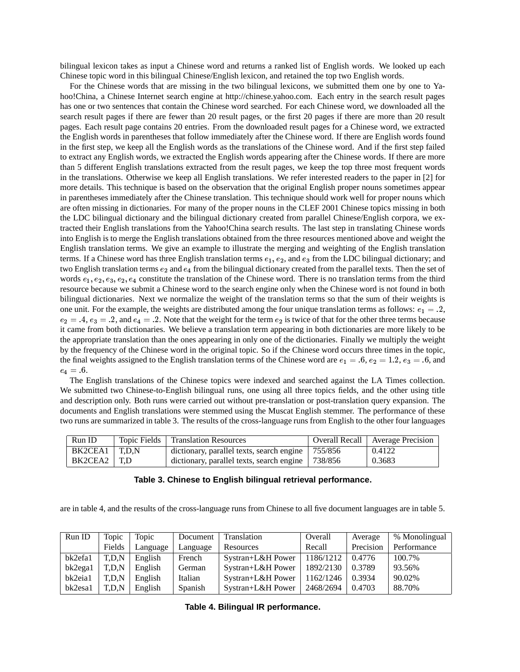bilingual lexicon takes as input a Chinese word and returns a ranked list of English words. We looked up each Chinese topic word in this bilingual Chinese/English lexicon, and retained the top two English words.

For the Chinese words that are missing in the two bilingual lexicons, we submitted them one by one to Yahoo!China, a Chinese Internet search engine at http://chinese.yahoo.com. Each entry in the search result pages has one or two sentences that contain the Chinese word searched. For each Chinese word, we downloaded all the search result pages if there are fewer than 20 result pages, or the first 20 pages if there are more than 20 result pages. Each result page contains 20 entries. From the downloaded result pages for a Chinese word, we extracted the English words in parentheses that follow immediately after the Chinese word. If there are English words found in the first step, we keep all the English words as the translations of the Chinese word. And if the first step failed to extract any English words, we extracted the English words appearing after the Chinese words. If there are more than 5 different English translations extracted from the result pages, we keep the top three most frequent words in the translations. Otherwise we keep all English translations. We refer interested readers to the paper in [2] for more details. This technique is based on the observation that the original English proper nouns sometimes appear in parentheses immediately after the Chinese translation. This technique should work well for proper nouns which are often missing in dictionaries. For many of the proper nouns in the CLEF 2001 Chinese topics missing in both the LDC bilingual dictionary and the bilingual dictionary created from parallel Chinese/English corpora, we extracted their English translations from the Yahoo!China search results. The last step in translating Chinese words into English is to merge the English translations obtained from the three resources mentioned above and weight the English translation terms. We give an example to illustrate the merging and weighting of the English translation terms. If a Chinese word has three English translation terms  $e_1, e_2$ , and  $e_3$  from the LDC bilingual dictionary; and two English translation terms  $e_2$  and  $e_4$  from the bilingual dictionary created from the parallel texts. Then the set of words  $e_1, e_2, e_3, e_2, e_4$  constitute the translation of the Chinese word. There is no translation terms from the third resource because we submit a Chinese word to the search engine only when the Chinese word is not found in both bilingual dictionaries. Next we normalize the weight of the translation terms so that the sum of their weights is one unit. For the example, the weights are distributed among the four unique translation terms as follows:  $e_1 = .2$ ,  $e_2 = .4$ ,  $e_3 = .2$ , and  $e_4 = .2$ . Note that the weight for the term  $e_2$  is twice of that for the other three terms because it came from both dictionaries. We believe a translation term appearing in both dictionaries are more likely to be the appropriate translation than the ones appearing in only one of the dictionaries. Finally we multiply the weight by the frequency of the Chinese word in the original topic. So if the Chinese word occurs three times in the topic, the final weights assigned to the English translation terms of the Chinese word are  $e_1 = .6, e_2 = 1.2, e_3 = .6,$  and  $e_4 = .6.$ 

The English translations of the Chinese topics were indexed and searched against the LA Times collection. We submitted two Chinese-to-English bilingual runs, one using all three topics fields, and the other using title and description only. Both runs were carried out without pre-translation or post-translation query expansion. The documents and English translations were stemmed using the Muscat English stemmer. The performance of these two runs are summarized in table 3. The results of the cross-language runs from English to the other four languages

| Run ID           | Topic Fields   Translation Resources                | Overall Recall   Average Precision |
|------------------|-----------------------------------------------------|------------------------------------|
| $B K2CEA1$ T.D.N | dictionary, parallel texts, search engine   755/856 | 0.4122                             |
| BK2CEA2 T.D      | dictionary, parallel texts, search engine   738/856 | 0.3683                             |

#### **Table 3. Chinese to English bilingual retrieval performance.**

are in table 4, and the results of the cross-language runs from Chinese to all five document languages are in table 5.

| Run ID  | Topic  | Topic    | Document | Translation       | Overall   | Average   | % Monolingual |
|---------|--------|----------|----------|-------------------|-----------|-----------|---------------|
|         | Fields | Language | Language | Resources         | Recall    | Precision | Performance   |
| bk2efa1 | T.D.N  | English  | French   | Systran+L&H Power | 1186/1212 | 0.4776    | 100.7%        |
| bk2ega1 | T.D.N  | English  | German   | Systran+L&H Power | 1892/2130 | 0.3789    | 93.56%        |
| bk2eia1 | T.D.N  | English  | Italian  | Systran+L&H Power | 1162/1246 | 0.3934    | 90.02%        |
| bk2esa1 | T.D.N  | English  | Spanish  | Systran+L&H Power | 2468/2694 | 0.4703    | 88.70%        |

**Table 4. Bilingual IR performance.**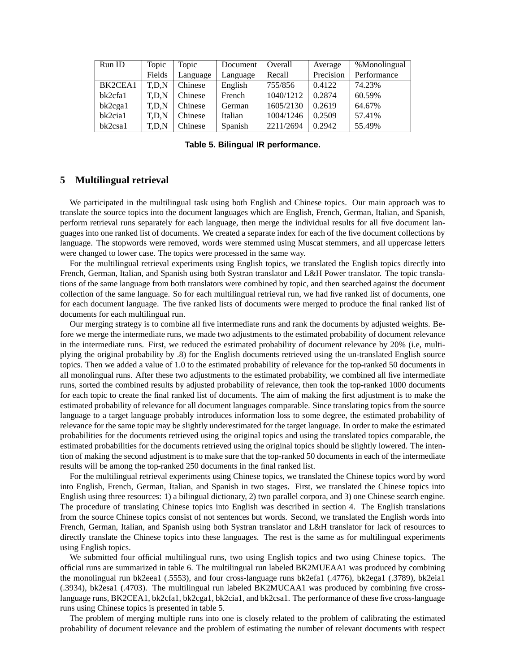| Run ID  | Topic  | Topic    | Document | Overall   | Average   | %Monolingual |
|---------|--------|----------|----------|-----------|-----------|--------------|
|         | Fields | Language | Language | Recall    | Precision | Performance  |
| BK2CEA1 | T.D.N  | Chinese  | English  | 755/856   | 0.4122    | 74.23%       |
| bk2cfa1 | T,D,N  | Chinese  | French   | 1040/1212 | 0.2874    | 60.59%       |
| bk2cga1 | T.D.N  | Chinese  | German   | 1605/2130 | 0.2619    | 64.67%       |
| bk2cia1 | T,D,N  | Chinese  | Italian  | 1004/1246 | 0.2509    | 57.41%       |
| bk2csa1 | T.D.N  | Chinese  | Spanish  | 2211/2694 | 0.2942    | 55.49%       |

**Table 5. Bilingual IR performance.**

## **5 Multilingual retrieval**

We participated in the multilingual task using both English and Chinese topics. Our main approach was to translate the source topics into the document languages which are English, French, German, Italian, and Spanish, perform retrieval runs separately for each language, then merge the individual results for all five document languages into one ranked list of documents. We created a separate index for each of the five document collections by language. The stopwords were removed, words were stemmed using Muscat stemmers, and all uppercase letters were changed to lower case. The topics were processed in the same way.

For the multilingual retrieval experiments using English topics, we translated the English topics directly into French, German, Italian, and Spanish using both Systran translator and L&H Power translator. The topic translations of the same language from both translators were combined by topic, and then searched against the document collection of the same language. So for each multilingual retrieval run, we had five ranked list of documents, one for each document language. The five ranked lists of documents were merged to produce the final ranked list of documents for each multilingual run.

Our merging strategy is to combine all five intermediate runs and rank the documents by adjusted weights. Before we merge the intermediate runs, we made two adjustments to the estimated probability of document relevance in the intermediate runs. First, we reduced the estimated probability of document relevance by 20% (i.e, multiplying the original probability by .8) for the English documents retrieved using the un-translated English source topics. Then we added a value of 1.0 to the estimated probability of relevance for the top-ranked 50 documents in all monolingual runs. After these two adjustments to the estimated probability, we combined all five intermediate runs, sorted the combined results by adjusted probability of relevance, then took the top-ranked 1000 documents for each topic to create the final ranked list of documents. The aim of making the first adjustment is to make the estimated probability of relevance for all document languages comparable. Since translating topics from the source language to a target language probably introduces information loss to some degree, the estimated probability of relevance for the same topic may be slightly underestimated for the target language. In order to make the estimated probabilities for the documents retrieved using the original topics and using the translated topics comparable, the estimated probabilities for the documents retrieved using the original topics should be slightly lowered. The intention of making the second adjustment is to make sure that the top-ranked 50 documents in each of the intermediate results will be among the top-ranked 250 documents in the final ranked list.

For the multilingual retrieval experiments using Chinese topics, we translated the Chinese topics word by word into English, French, German, Italian, and Spanish in two stages. First, we translated the Chinese topics into English using three resources: 1) a bilingual dictionary, 2) two parallel corpora, and 3) one Chinese search engine. The procedure of translating Chinese topics into English was described in section 4. The English translations from the source Chinese topics consist of not sentences but words. Second, we translated the English words into French, German, Italian, and Spanish using both Systran translator and L&H translator for lack of resources to directly translate the Chinese topics into these languages. The rest is the same as for multilingual experiments using English topics.

We submitted four official multilingual runs, two using English topics and two using Chinese topics. The official runs are summarized in table 6. The multilingual run labeled BK2MUEAA1 was produced by combining the monolingual run bk2eea1 (.5553), and four cross-language runs bk2efa1 (.4776), bk2ega1 (.3789), bk2eia1 (.3934), bk2esa1 (.4703). The multilingual run labeled BK2MUCAA1 was produced by combining five crosslanguage runs, BK2CEA1, bk2cfa1, bk2cga1, bk2cia1, and bk2csa1. The performance of these five cross-language runs using Chinese topics is presented in table 5.

The problem of merging multiple runs into one is closely related to the problem of calibrating the estimated probability of document relevance and the problem of estimating the number of relevant documents with respect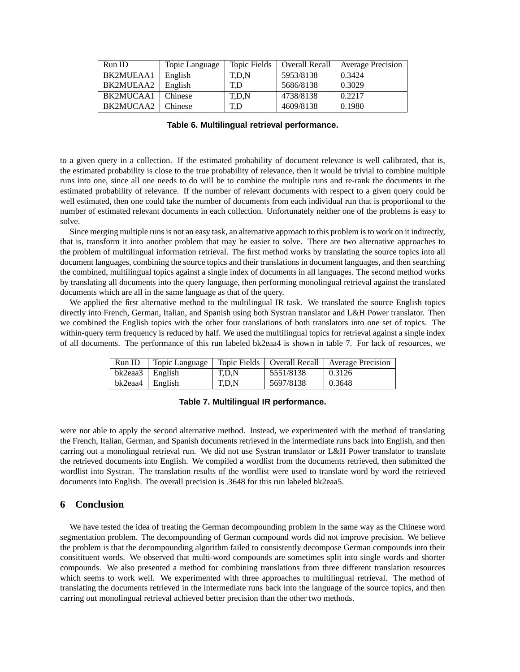| Run ID    | Topic Language | Topic Fields | Overall Recall | <b>Average Precision</b> |
|-----------|----------------|--------------|----------------|--------------------------|
| BK2MUEAA1 | English        | T.D.N        | 5953/8138      | 0.3424                   |
| BK2MUEAA2 | English        | T.D          | 5686/8138      | 0.3029                   |
| BK2MUCAA1 | Chinese        | T.D.N        | 4738/8138      | 0.2217                   |
| BK2MUCAA2 | Chinese        | T.D          | 4609/8138      | 0.1980                   |

**Table 6. Multilingual retrieval performance.**

to a given query in a collection. If the estimated probability of document relevance is well calibrated, that is, the estimated probability is close to the true probability of relevance, then it would be trivial to combine multiple runs into one, since all one needs to do will be to combine the multiple runs and re-rank the documents in the estimated probability of relevance. If the number of relevant documents with respect to a given query could be well estimated, then one could take the number of documents from each individual run that is proportional to the number of estimated relevant documents in each collection. Unfortunately neither one of the problems is easy to solve.

Since merging multiple runs is not an easy task, an alternative approach to this problem is to work on it indirectly, that is, transform it into another problem that may be easier to solve. There are two alternative approaches to the problem of multilingual information retrieval. The first method works by translating the source topics into all document languages, combining the source topics and their translations in document languages, and then searching the combined, multilingual topics against a single index of documents in all languages. The second method works by translating all documents into the query language, then performing monolingual retrieval against the translated documents which are all in the same language as that of the query.

We applied the first alternative method to the multilingual IR task. We translated the source English topics directly into French, German, Italian, and Spanish using both Systran translator and L&H Power translator. Then we combined the English topics with the other four translations of both translators into one set of topics. The within-query term frequency is reduced by half. We used the multilingual topics for retrieval against a single index of all documents. The performance of this run labeled bk2eaa4 is shown in table 7. For lack of resources, we

| Run ID              |       |           | Topic Language   Topic Fields   Overall Recall   Average Precision |
|---------------------|-------|-----------|--------------------------------------------------------------------|
| $bk2eaa3$   English | T.D.N | 5551/8138 | 10.3126                                                            |
| $bk2eaa4$ English   | T.D.N | 5697/8138 | 0.3648                                                             |

|  |  |  |  | Table 7. Multilingual IR performance. |
|--|--|--|--|---------------------------------------|
|--|--|--|--|---------------------------------------|

were not able to apply the second alternative method. Instead, we experimented with the method of translating the French, Italian, German, and Spanish documents retrieved in the intermediate runs back into English, and then carring out a monolingual retrieval run. We did not use Systran translator or L&H Power translator to translate the retrieved documents into English. We compiled a wordlist from the documents retrieved, then submitted the wordlist into Systran. The translation results of the wordlist were used to translate word by word the retrieved documents into English. The overall precision is .3648 for this run labeled bk2eaa5.

## **6 Conclusion**

We have tested the idea of treating the German decompounding problem in the same way as the Chinese word segmentation problem. The decompounding of German compound words did not improve precision. We believe the problem is that the decompounding algorithm failed to consistently decompose German compounds into their consitituent words. We observed that multi-word compounds are sometimes split into single words and shorter compounds. We also presented a method for combining translations from three different translation resources which seems to work well. We experimented with three approaches to multilingual retrieval. The method of translating the documents retrieved in the intermediate runs back into the language of the source topics, and then carring out monolingual retrieval achieved better precision than the other two methods.